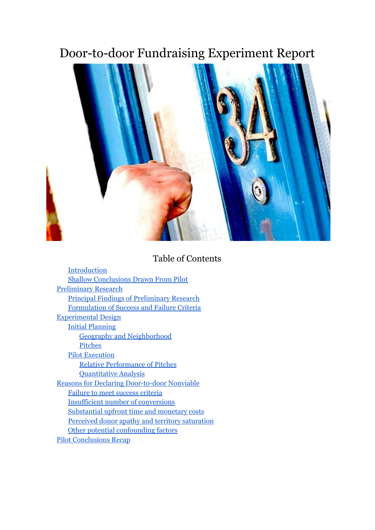# Door-to-door Fundraising Experiment Report



# Table of Contents

| Introduction                                        |
|-----------------------------------------------------|
| <b>Shallow Conclusions Drawn From Pilot</b>         |
| <b>Preliminary Research</b>                         |
| <b>Principal Findings of Preliminary Research</b>   |
| Formulation of Success and Failure Criteria         |
| <b>Experimental Design</b>                          |
| <b>Initial Planning</b>                             |
| <b>Geography and Neighborhood</b>                   |
| Pitches                                             |
| <b>Pilot Execution</b>                              |
| <b>Relative Performance of Pitches</b>              |
| <b>Quantitative Analysis</b>                        |
| <b>Reasons for Declaring Door-to-door Nonviable</b> |
| Failure to meet success criteria                    |
| <b>Insufficient number of conversions</b>           |
| Substantial upfront time and monetary costs         |
| Perceived donor apathy and territory saturation     |
| Other potential confounding factors                 |
| <b>Pilot Conclusions Recap</b>                      |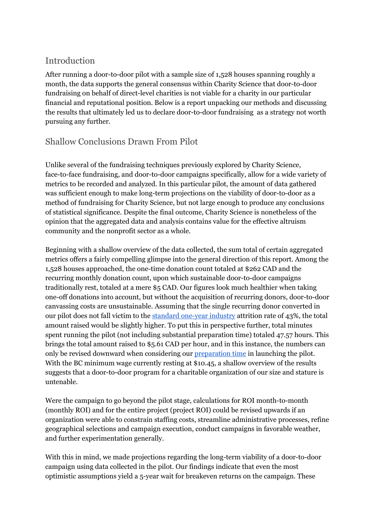## <span id="page-1-0"></span>Introduction

After running a door-to-door pilot with a sample size of  $1,528$  houses spanning roughly a month, the data supports the general consensus within Charity Science that door-to-door fundraising on behalf of direct-level charities is not viable for a charity in our particular financial and reputational position. Below is a report unpacking our methods and discussing the results that ultimately led us to declare door-to-door fundraising as a strategy not worth pursuing any further.

# <span id="page-1-1"></span>Shallow Conclusions Drawn From Pilot

Unlike several of the fundraising techniques previously explored by Charity Science, face-to-face fundraising, and door-to-door campaigns specifically, allow for a wide variety of metrics to be recorded and analyzed. In this particular pilot, the amount of data gathered was sufficient enough to make long-term projections on the viability of door-to-door as a method of fundraising for Charity Science, but not large enough to produce any conclusions of statistical significance. Despite the final outcome, Charity Science is nonetheless of the opinion that the aggregated data and analysis contains value for the effective altruism community and the nonprofit sector as a whole.

Beginning with a shallow overview of the data collected, the sum total of certain aggregated metrics offers a fairly compelling glimpse into the general direction of this report. Among the 1,528 houses approached, the onetime donation count totaled at \$262 CAD and the recurring monthly donation count, upon which sustainable door-to-door campaigns traditionally rest, totaled at a mere \$5 CAD. Our figures look much healthier when taking one-off donations into account, but without the acquisition of recurring donors, door-to-door canvassing costs are unsustainable. Assuming that the single recurring donor converted in our pilot does not fall victim to the [standard](http://www.seantriner.com/2014/02/is-face-to-face-fundraising-really.html) one-year industry attrition rate of 43%, the total amount raised would be slightly higher. To put this in perspective further, total minutes spent running the pilot (not including substantial preparation time) totaled 47.57 hours. This brings the total amount raised to \$5.61 CAD per hour, and in this instance, the numbers can only be revised downward when considering our **[preparation](https://docs.google.com/document/d/1Xxr_jUb6qfvCQ0OV4kdv77hxaV4ne6dRom3oDx73umA/edit) time** in launching the pilot. With the BC minimum wage currently resting at \$10.45, a shallow overview of the results suggests that a door-to-door program for a charitable organization of our size and stature is untenable.

Were the campaign to go beyond the pilot stage, calculations for ROI month-to-month (monthly ROI) and for the entire project (project ROI) could be revised upwards if an organization were able to constrain staffing costs, streamline administrative processes, refine geographical selections and campaign execution, conduct campaigns in favorable weather, and further experimentation generally.

With this in mind, we made projections regarding the long-term viability of a door-to-door campaign using data collected in the pilot. Our findings indicate that even the most optimistic assumptions yield a 5-year wait for breakeven returns on the campaign. These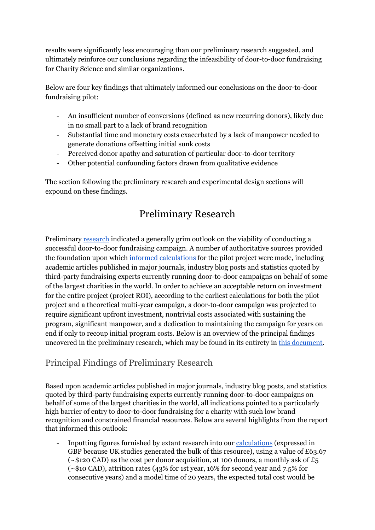results were significantly less encouraging than our preliminary research suggested, and ultimately reinforce our conclusions regarding the infeasibility of door-to-door fundraising for Charity Science and similar organizations.

Below are four key findings that ultimately informed our conclusions on the door-to-door fundraising pilot:

- An insufficient number of conversions (defined as new recurring donors), likely due in no small part to a lack of brand recognition
- Substantial time and monetary costs exacerbated by a lack of manpower needed to generate donations offsetting initial sunk costs
- Perceived donor apathy and saturation of particular door-to-door territory
- Other potential confounding factors drawn from qualitative evidence

<span id="page-2-0"></span>The section following the preliminary research and experimental design sections will expound on these findings.

# Preliminary Research

Preliminary [research](https://docs.google.com/document/d/1pYRnIZIph6gLPGEgktn9wV1GBU2Tjs-_5zSzqxLDZLY/edit?usp=sharing) indicated a generally grim outlook on the viability of conducting a successful door-to-door fundraising campaign. A number of authoritative sources provided the foundation upon which informed [calculations](https://docs.google.com/spreadsheets/d/1HlYLaI8V8pX79cNgZ7wPRB7RwT6sALlGnEJNlBSCL5Y/edit#gid=0) for the pilot project were made, including academic articles published in major journals, industry blog posts and statistics quoted by third-party fundraising experts currently running door-to-door campaigns on behalf of some of the largest charities in the world. In order to achieve an acceptable return on investment for the entire project (project ROI), according to the earliest calculations for both the pilot project and a theoretical multi-year campaign, a door-to-door campaign was projected to require significant upfront investment, nontrivial costs associated with sustaining the program, significant manpower, and a dedication to maintaining the campaign for years on end if only to recoup initial program costs. Below is an overview of the principal findings uncovered in the preliminary research, which may be found in its entirety in this [document.](https://docs.google.com/document/d/1pYRnIZIph6gLPGEgktn9wV1GBU2Tjs-_5zSzqxLDZLY/edit?usp=sharing)

## <span id="page-2-1"></span>Principal Findings of Preliminary Research

Based upon academic articles published in major journals, industry blog posts, and statistics quoted by third-party fundraising experts currently running door-to-door campaigns on behalf of some of the largest charities in the world, all indications pointed to a particularly high barrier of entry to door-to-door fundraising for a charity with such low brand recognition and constrained financial resources. Below are several highlights from the report that informed this outlook:

 Inputting figures furnished by extant research into our [calculations](https://docs.google.com/spreadsheets/d/17zbkuWMr65qgtcViSeELnkS6Uv5QZf8S06MpMJQRfbQ/edit#gid=1079407983) (expressed in GBP because UK studies generated the bulk of this resource), using a value of £63.67 ( $\sim$ \$120 CAD) as the cost per donor acquisition, at 100 donors, a monthly ask of £5 (~\$10 CAD), attrition rates (43% for 1st year, 16% for second year and 7.5% for consecutive years) and a model time of 20 years, the expected total cost would be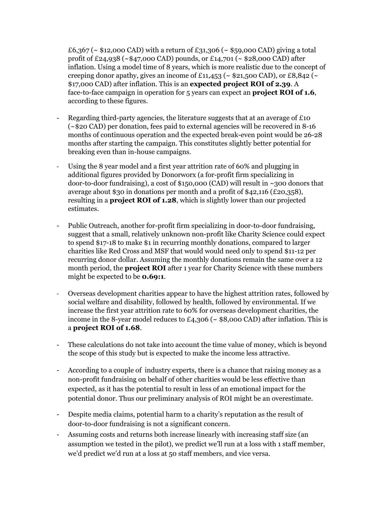£6,367 ( $\sim$  \$12,000 CAD) with a return of £31,306 ( $\sim$  \$59,000 CAD) giving a total profit of £24,938 (~\$47,000 CAD) pounds, or £14,701 (~ \$28,000 CAD) after inflation. Using a model time of 8 years, which is more realistic due to the concept of creeping donor apathy, gives an income of £11,453 ( $\sim$  \$21,500 CAD), or £8,842 ( $\sim$ \$17,000 CAD) after inflation. This is an **expected project ROI of 2.39**. A face-to-face campaign in operation for 5 years can expect an **project ROI** of 1.6, according to these figures.

- Regarding third-party agencies, the literature suggests that at an average of  $\text{\pounds}10$  $(-20 \text{ A})$  per donation, fees paid to external agencies will be recovered in 8-16 months of continuous operation and the expected break-even point would be 26-28 months after starting the campaign. This constitutes slightly better potential for breaking even than in-house campaigns.
- Using the 8 year model and a first year attrition rate of 60% and plugging in additional figures provided by Donorworx (a for-profit firm specializing in door-to-door fundraising), a cost of \$150,000 (CAD) will result in  $\sim$ 300 donors that average about \$30 in donations per month and a profit of \$42,116 (£20,358), resulting in a **project ROI of 1.28**,which is slightly lower than our projected estimates.
- Public Outreach, another for-profit firm specializing in door-to-door fundraising, suggest that a small, relatively unknown non-profit like Charity Science could expect to spend \$17-18 to make \$1 in recurring monthly donations, compared to larger charities like Red Cross and MSF that would would need only to spend \$1112 per recurring donor dollar. Assuming the monthly donations remain the same over a 12 month period, the **projectROI**after 1 year for Charity Science with these numbers might be expected to be **0.69:1**.
- Overseas development charities appear to have the highest attrition rates, followed by social welfare and disability, followed by health, followed by environmental. If we increase the first year attrition rate to 60% for overseas development charities, the income in the 8-year model reduces to  $\text{\pounds}_{4,3}$ 06 (~ \$8,000 CAD) after inflation. This is a **project ROI of 1.68**.
- These calculations do not take into account the time value of money, which is beyond the scope of this study but is expected to make the income less attractive.
- According to a couple of industry experts, there is a chance that raising money as a non-profit fundraising on behalf of other charities would be less effective than expected, as it has the potential to result in less of an emotional impact for the potential donor. Thus our preliminary analysis of ROI might be an overestimate.
- Despite media claims, potential harm to a charity's reputation as the result of door-to-door fundraising is not a significant concern.
- Assuming costs and returns both increase linearly with increasing staff size (an assumption we tested in the pilot), we predict we'll run at a loss with 1 staff member, we'd predict we'd run at a loss at 50 staff members, and vice versa.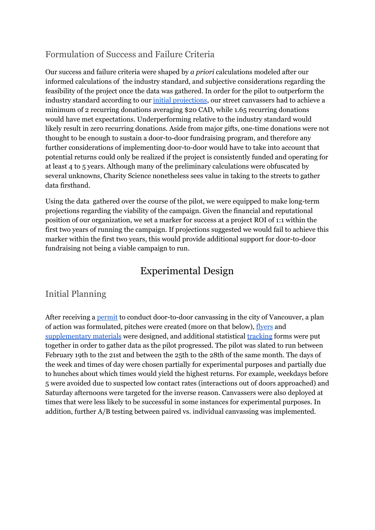# <span id="page-4-0"></span>Formulation of Success and Failure Criteria

Our success and failure criteria were shaped by *a priori* calculations modeled after our informed calculations of the industry standard, and subjective considerations regarding the feasibility of the project once the data was gathered. In order for the pilot to outperform the industry standard according to our initial [projections](https://docs.google.com/document/d/1Blq90Tqd1_u2Y8U_8pNmwL4QHuZIAJbzXV_VSIYTzj0/edit#heading=h.u7vdce3wl57a), our street canvassers had to achieve a minimum of 2 recurring donations averaging \$20 CAD, while 1.65 recurring donations would have met expectations. Underperforming relative to the industry standard would likely result in zero recurring donations. Aside from major gifts, one-time donations were not thought to be enough to sustain a door-to-door fundraising program, and therefore any further considerations of implementing door-to-door would have to take into account that potential returns could only be realized if the project is consistently funded and operating for at least 4 to 5 years. Although many of the preliminary calculations were obfuscated by several unknowns, Charity Science nonetheless sees value in taking to the streets to gather data firsthand.

Using the data gathered over the course of the pilot, we were equipped to make long-term projections regarding the viability of the campaign. Given the financial and reputational position of our organization, we set a marker for success at a project ROI of 1:1 within the first two years of running the campaign. If projections suggested we would fail to achieve this marker within the first two years, this would provide additional support for door-to-door fundraising not being a viable campaign to run.

# Experimental Design

## <span id="page-4-2"></span><span id="page-4-1"></span>Initial Planning

After receiving a <u>[permit](https://drive.google.com/file/d/0ByxsfY_DB2IGYlo3MlpHR0hsYk10X29WbVBHTzNKZzVMX0xv/view?usp=sharing)</u> to conduct door-to-door canvassing in the city of Vancouver, a plan of action was formulated, pitches were created (more on that below), [flyers](https://drive.google.com/folderview?id=0ByxsfY_DB2IGbVk5blk2WE5RWTA&usp=sharing) and [supplementary](https://docs.google.com/document/d/1BZByjTBOl0ZeXUnsDN__Vs3GSJsnhHItUxpg8hLGwDE/edit?usp=sharing) materials were designed, and additional statistical [tracking](https://docs.google.com/document/d/1SOM8tqS9SuXwi16jX2TZmRKTQhI6epwaL40EGmyHop4/edit?usp=sharing) forms were put together in order to gather data as the pilot progressed. The pilot was slated to run between February 19th to the 21st and between the 25th to the 28th of the same month. The days of the week and times of day were chosen partially for experimental purposes and partially due to hunches about which times would yield the highest returns. For example, weekdays before 5 were avoided due to suspected low contact rates (interactions out of doors approached) and Saturday afternoons were targeted for the inverse reason. Canvassers were also deployed at times that were less likely to be successful in some instances for experimental purposes. In addition, further A/B testing between paired vs. individual canvassing was implemented.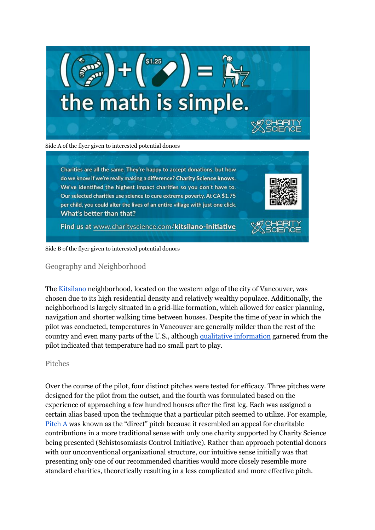

Charities are all the same. They're happy to accept donations, but how do we know if we're really making a difference? Charity Science knows. We've identified the highest impact charities so you don't have to. Our selected charities use science to cure extreme poverty. At CA \$1.75 per child, you could alter the lives of an entire village with just one click. What's better than that?

Find us at www.charityscience.com/kitsilano-initiative

#### <span id="page-5-0"></span>Side B of the flyer given to interested potential donors

#### Geography and Neighborhood

The [Kitsilano](https://en.wikipedia.org/wiki/Kitsilano) neighborhood, located on the western edge of the city of Vancouver, was chosen due to its high residential density and relatively wealthy populace. Additionally, the neighborhood is largely situated in a grid-like formation, which allowed for easier planning, navigation and shorter walking time between houses. Despite the time of year in which the pilot was conducted, temperatures in Vancouver are generally milder than the rest of the country and even many parts of the U.S., although qualitative [information](https://docs.google.com/document/d/12RudrFh3CCf3nQU9w6kOYqCoZ_cGbcm9bGsXNZ-yxiw/edit#heading=h.817weyb7bjsd) garnered from the pilot indicated that temperature had no small part to play.

#### <span id="page-5-1"></span>Pitches

Over the course of the pilot, four distinct pitches were tested for efficacy. Three pitches were designed for the pilot from the outset, and the fourth was formulated based on the experience of approaching a few hundred houses after the first leg. Each was assigned a certain alias based upon the technique that a particular pitch seemed to utilize. For example, [Pitch](https://docs.google.com/document/d/1gpNA61arx2DMShHxFexc_4_7vQuIPPXY64vvqBLjoNs/edit?usp=sharing) A was known as the "direct" pitch because it resembled an appeal for charitable contributions in a more traditional sense with only one charity supported by Charity Science being presented (Schistosomiasis Control Initiative). Rather than approach potential donors with our unconventional organizational structure, our intuitive sense initially was that presenting only one of our recommended charities would more closely resemble more standard charities, theoretically resulting in a less complicated and more effective pitch.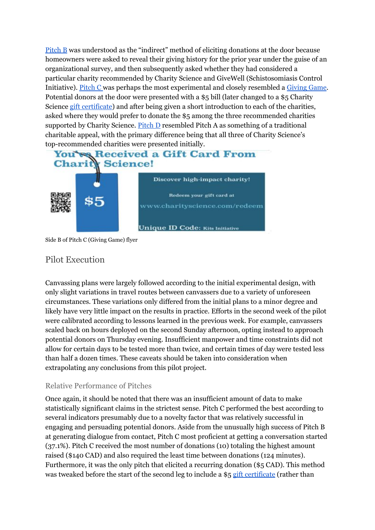[Pitch](https://docs.google.com/document/d/168AwYjfFj9_r0OecOtRT5jXL2NHVGUf0h2gXisUpFZY/edit?usp=sharing) B was understood as the "indirect" method of eliciting donations at the door because homeowners were asked to reveal their giving history for the prior year under the guise of an organizational survey, and then subsequently asked whether they had considered a particular charity recommended by Charity Science and GiveWell (Schistosomiasis Control Initiative). [Pitch](https://docs.google.com/document/d/1_os_FppgfDFCuX-nqhGSI6bX_c61PTdcMtdWX28ZbUA/edit?usp=sharing) C was perhaps the most experimental and closely resembled a [Giving](http://www.thelifeyoucansave.org/Giving-Games) Game. Potential donors at the door were presented with a \$5 bill (later changed to a \$5 Charity Science gift [certificate\)](http://www.charityscience.com/charity-gift-cards.html) and after being given a short introduction to each of the charities, asked where they would prefer to donate the \$5 among the three recommended charities supported by Charity Science. [Pitch](https://docs.google.com/document/d/1FjkwesrLxPISxxNhVQwTagy5GAr1trZr4-TyJA1ygJo/edit?usp=sharing)  $D$  resembled Pitch A as something of a traditional charitable appeal, with the primary difference being that all three of Charity Science's top-recommended charities were presented initially.



Side B of Pitch C (Giving Game) flyer

## <span id="page-6-0"></span>Pilot Execution

Canvassing plans were largely followed according to the initial experimental design, with only slight variations in travel routes between canvassers due to a variety of unforeseen circumstances. These variations only differed from the initial plans to a minor degree and likely have very little impact on the results in practice. Efforts in the second week of the pilot were calibrated according to lessons learned in the previous week. For example, canvassers scaled back on hours deployed on the second Sunday afternoon, opting instead to approach potential donors on Thursday evening. Insufficient manpower and time constraints did not allow for certain days to be tested more than twice, and certain times of day were tested less than half a dozen times. These caveats should be taken into consideration when extrapolating any conclusions from this pilot project.

### <span id="page-6-1"></span>Relative Performance of Pitches

Once again, it should be noted that there was an insufficient amount of data to make statistically significant claims in the strictest sense. Pitch C performed the best according to several indicators presumably due to a novelty factor that was relatively successful in engaging and persuading potential donors. Aside from the unusually high success of Pitch B at generating dialogue from contact, Pitch C most proficient at getting a conversation started (37.1%). Pitch C received the most number of donations (10) totaling the highest amount raised (\$140 CAD) and also required the least time between donations (124 minutes). Furthermore, it was the only pitch that elicited a recurring donation (\$5 CAD). This method was tweaked before the start of the second leg to include a \$5 gift [certificate](http://www.charityscience.com/charity-gift-cards.html) (rather than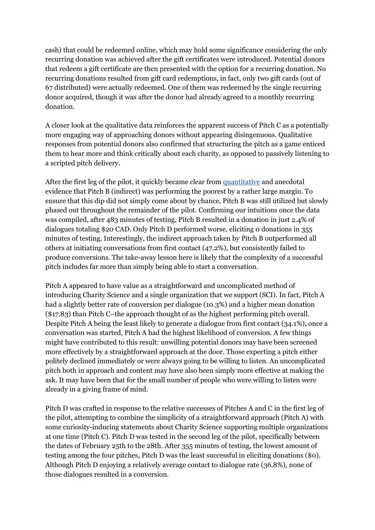cash) that could be redeemed online, which may hold some significance considering the only recurring donation was achieved after the gift certificates were introduced. Potential donors that redeem a gift certificate are then presented with the option for a recurring donation. No recurring donations resulted from gift card redemptions, in fact, only two gift cards (out of 67 distributed) were actually redeemed. One of them was redeemed by the single recurring donor acquired, though it was after the donor had already agreed to a monthly recurring donation.

A closer look at the qualitative data reinforces the apparent success of Pitch C as a potentially more engaging way of approaching donors without appearing disingenuous. Qualitative responses from potential donors also confirmed that structuring the pitch as a game enticed them to hear more and think critically about each charity, as opposed to passively listening to a scripted pitch delivery.

After the first leg of the pilot, it quickly became clear from [quantitative](https://docs.google.com/document/d/1eTMshn9E8WpF8IvBKFbNRQNmcZPBfO0wtdSECNObk60/edit?usp=sharing) and anecdotal evidence that Pitch B (indirect) was performing the poorest by a rather large margin. To ensure that this dip did not simply come about by chance, Pitch B was still utilized but slowly phased out throughout the remainder of the pilot. Confirming our intuitions once the data was compiled, after 483 minutes of testing, Pitch B resulted in a donation in just 2.4% of dialogues totaling \$20 CAD. Only Pitch D performed worse, eliciting 0 donations in 355 minutes of testing. Interestingly, the indirect approach taken by Pitch B outperformed all others at initiating conversations from first contact (47.2%), but consistently failed to produce conversions. The take-away lesson here is likely that the complexity of a successful pitch includes far more than simply being able to start a conversation.

Pitch A appeared to have value as a straightforward and uncomplicated method of introducing Charity Science and a single organization that we support (SCI). In fact, Pitch A had a slightly better rate of conversion per dialogue (10.3%) and a higher mean donation (\$17.83) than Pitch C–the approach thought of as the highest performing pitch overall. Despite Pitch A being the least likely to generate a dialogue from first contact (34.1%), once a conversation was started, Pitch A had the highest likelihood of conversion. A few things might have contributed to this result: unwilling potential donors may have been screened more effectively by a straightforward approach at the door. Those expecting a pitch either politely declined immediately or were always going to be willing to listen. An uncomplicated pitch both in approach and content may have also been simply more effective at making the ask. It may have been that for the small number of people who were willing to listen were already in a giving frame of mind.

Pitch D was crafted in response to the relative successes of Pitches A and C in the first leg of the pilot, attempting to combine the simplicity of a straightforward approach (Pitch A) with some curiosity-inducing statements about Charity Science supporting multiple organizations at one time (Pitch C). Pitch D was tested in the second leg of the pilot, specifically between the dates of February 25th to the 28th. After 355 minutes of testing, the lowest amount of testing among the four pitches, Pitch D was the least successful in eliciting donations (\$0). Although Pitch D enjoying a relatively average contact to dialogue rate (36.8%), none of those dialogues resulted in a conversion.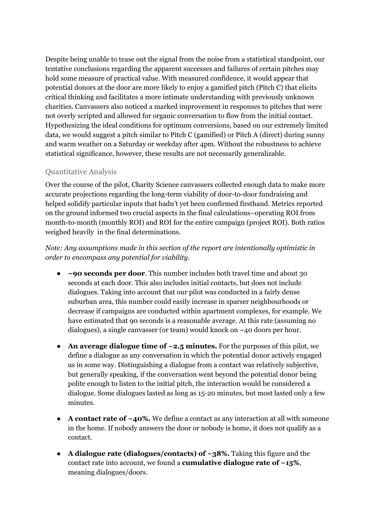Despite being unable to tease out the signal from the noise from a statistical standpoint, our tentative conclusions regarding the apparent successes and failures of certain pitches may hold some measure of practical value. With measured confidence, it would appear that potential donors at the door are more likely to enjoy a gamified pitch (Pitch C) that elicits critical thinking and facilitates a more intimate understanding with previously unknown charities. Canvassers also noticed a marked improvement in responses to pitches that were not overly scripted and allowed for organic conversation to flow from the initial contact. Hypothesizing the ideal conditions for optimum conversions, based on our extremely limited data, we would suggest a pitch similar to Pitch C (gamified) or Pitch A (direct) during sunny and warm weather on a Saturday or weekday after 4pm. Without the robustness to achieve statistical significance, however, these results are not necessarily generalizable.

### <span id="page-8-0"></span>Quantitative Analysis

Over the course of the pilot, Charity Science canvassers collected enough data to make more accurate projections regarding the long-term viability of door-to-door fundraising and helped solidify particular inputs that hadn't yet been confirmed firsthand. Metrics reported on the ground informed two crucial aspects in the final calculations–operating ROI from month-to-month (monthly ROI) and ROI for the entire campaign (project ROI). Both ratios weighed heavily in the final determinations.

*Note: Any assumptions made in this section of the report are intentionally optimistic in order to encompass any potential for viability.*

- **~90 seconds per door**. This number includes both travel time and about 30 seconds at each door. This also includes initial contacts, but does not include dialogues. Taking into account that our pilot was conducted in a fairly dense suburban area, this number could easily increase in sparser neighbourhoods or decrease if campaigns are conducted within apartment complexes, for example. We have estimated that 90 seconds is a reasonable average. At this rate (assuming no dialogues), a single canvasser (or team) would knock on ~40 doors per hour.
- **● An average dialogue time of ~2.5 minutes.**For the purposes of this pilot, we define a dialogue as any conversation in which the potential donor actively engaged us in some way. Distinguishing a dialogue from a contact was relatively subjective, but generally speaking, if the conversation went beyond the potential donor being polite enough to listen to the initial pitch, the interaction would be considered a dialogue. Some dialogues lasted as long as 1520 minutes, but most lasted only a few minutes.
- **● A contact rate of ~40%.** We define a contact as any interaction at all with someone in the home. If nobody answers the door or nobody is home, it does not qualify as a contact.
- **● A dialogue rate (dialogues/contacts) of ~38%.** Taking this figure and the contact rate into account, we found a **cumulative dialogue rate of ~15%**, meaning dialogues/doors.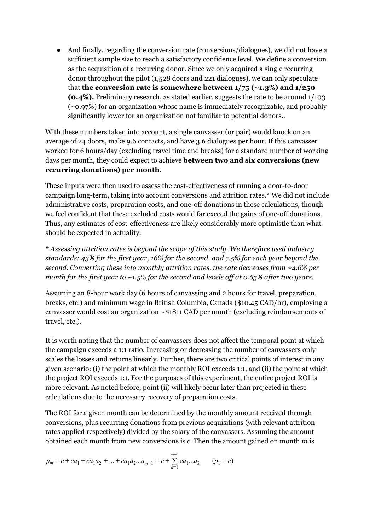And finally, regarding the conversion rate (conversions/dialogues), we did not have a sufficient sample size to reach a satisfactory confidence level. We define a conversion as the acquisition of a recurring donor. Since we only acquired a single recurring donor throughout the pilot (1,528 doors and 221 dialogues), we can only speculate that **the conversion rate** is somewhere between  $1/75$  ( $\sim$ 1.3%) and  $1/250$ **(0.4%).** Preliminary research, as stated earlier, suggests the rate to be around  $1/103$ (~0.97%) for an organization whose name is immediately recognizable, and probably significantly lower for an organization not familiar to potential donors..

With these numbers taken into account, a single canvasser (or pair) would knock on an average of 24 doors, make 9.6 contacts, and have 3.6 dialogues per hour. If this canvasser worked for 6 hours/day (excluding travel time and breaks) for a standard number of working days per month, they could expect to achieve **between two and six conversions (new recurring donations) per month.**

These inputs were then used to assess the cost-effectiveness of running a door-to-door campaign long-term, taking into account conversions and attrition rates.\* We did not include administrative costs, preparation costs, and one-off donations in these calculations, though we feel confident that these excluded costs would far exceed the gains of one-off donations. Thus, any estimates of cost-effectiveness are likely considerably more optimistic than what should be expected in actuality.

*\* Assessing attrition rates is beyond the scope of this study. We therefore used industry standards: 43% for the first year, 16% for the second, and 7.5% for each year beyond the second. Converting these into monthly attrition rates, the rate decreases from ~4.6% per month for the first year to ~1.5% for the second and levels of at 0.65% after two years.*

Assuming an 8-hour work day (6 hours of canvassing and 2 hours for travel, preparation, breaks, etc.) and minimum wage in British Columbia, Canada (\$10.45 CAD/hr), employing a canvasser would cost an organization ~\$1811 CAD per month (excluding reimbursements of travel, etc.).

It is worth noting that the number of canvassers does not affect the temporal point at which the campaign exceeds a 1:1 ratio. Increasing or decreasing the number of canvassers only scales the losses and returns linearly. Further, there are two critical points of interest in any given scenario: (i) the point at which the monthly ROI exceeds 1:1, and (ii) the point at which the project ROI exceeds 1:1. For the purposes of this experiment, the entire project ROI is more relevant. As noted before, point (ii) will likely occur later than projected in these calculations due to the necessary recovery of preparation costs.

The ROI for a given month can be determined by the monthly amount received through conversions, plus recurring donations from previous acquisitions (with relevant attrition rates applied respectively) divided by the salary of the canvassers. Assuming the amount obtained each month from new conversions is *c*. Then the amount gained on month *m* is

$$
p_m = c + ca_1 + ca_1a_2 + \dots + ca_1a_2 \dots a_{m-1} = c + \sum_{k=1}^{m-1} ca_1 \dots a_k \qquad (p_1 = c)
$$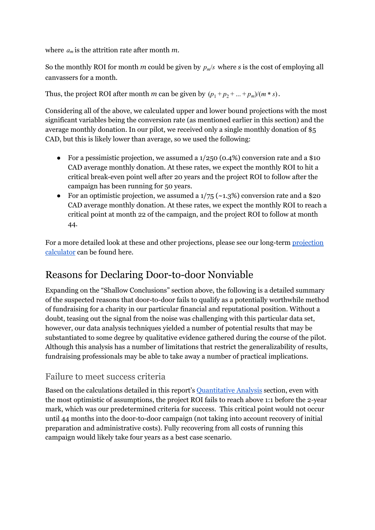where *a<sup>m</sup>* is the attrition rate after month *m*.

So the monthly ROI for month *m* could be given by  $p_m/s$  where *s* is the cost of employing all canvassers for a month.

Thus, the project ROI after month *m* can be given by  $(p_1 + p_2 + ... + p_m)/(m * s)$ .

Considering all of the above, we calculated upper and lower bound projections with the most significant variables being the conversion rate (as mentioned earlier in this section) and the average monthly donation. In our pilot, we received only a single monthly donation of \$5 CAD, but this is likely lower than average, so we used the following:

- For a pessimistic projection, we assumed a  $1/250$  (0.4%) conversion rate and a \$10 CAD average monthly donation. At these rates, we expect the monthly ROI to hit a critical break-even point well after 20 years and the project ROI to follow after the campaign has been running for 50 years.
- For an optimistic projection, we assumed a  $1/75$  ( $\sim$ 1.3%) conversion rate and a \$20 CAD average monthly donation. At these rates, we expect the monthly ROI to reach a critical point at month 22 of the campaign, and the project ROI to follow at month 44.

For a more detailed look at these and other [projection](https://docs.google.com/spreadsheets/d/1C29VN0EccvKYNvcCq9xJaC4V5U-EtduVFWMOz7ACb3M/edit?ts=56f41b78#gid=0)s, please see our long-term projection [calculator](https://docs.google.com/spreadsheets/d/1C29VN0EccvKYNvcCq9xJaC4V5U-EtduVFWMOz7ACb3M/edit?ts=56f41b78#gid=0) can be found here.

# <span id="page-10-0"></span>Reasons for Declaring Door-to-door Nonviable

Expanding on the "Shallow Conclusions" section above, the following is a detailed summary of the suspected reasons that door-to-door fails to qualify as a potentially worthwhile method of fundraising for a charity in our particular financial and reputational position. Without a doubt, teasing out the signal from the noise was challenging with this particular data set, however, our data analysis techniques yielded a number of potential results that may be substantiated to some degree by qualitative evidence gathered during the course of the pilot. Although this analysis has a number of limitations that restrict the generalizability of results, fundraising professionals may be able to take away a number of practical implications.

## <span id="page-10-1"></span>Failure to meet success criteria

Based on the calculations detailed in this report's [Quantitative](#page-8-0) Analysis section, even with the most optimistic of assumptions, the project ROI fails to reach above 1:1 before the 2-year mark, which was our predetermined criteria for success. This critical point would not occur until 44 months into the door-to-door campaign (not taking into account recovery of initial preparation and administrative costs). Fully recovering from all costs of running this campaign would likely take four years as a best case scenario.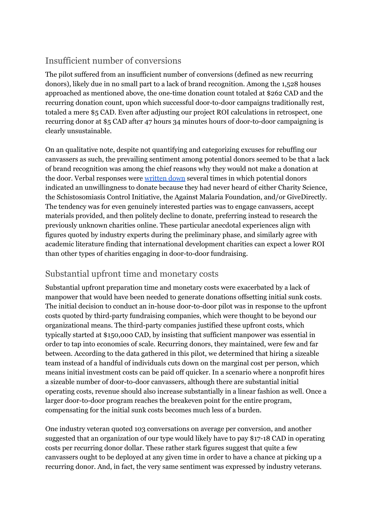# <span id="page-11-0"></span>Insufficient number of conversions

The pilot suffered from an insufficient number of conversions (defined as new recurring donors), likely due in no small part to a lack of brand recognition. Among the 1,528 houses approached as mentioned above, the one-time donation count totaled at \$262 CAD and the recurring donation count, upon which successful door-to-door campaigns traditionally rest, totaled a mere \$5 CAD. Even after adjusting our project ROI calculations in retrospect, one recurring donor at \$5 CAD after 47 hours 34 minutes hours of door-to-door campaigning is clearly unsustainable.

On an qualitative note, despite not quantifying and categorizing excuses for rebuffing our canvassers as such, the prevailing sentiment among potential donors seemed to be that a lack of brand recognition was among the chief reasons why they would not make a donation at the door. Verbal responses were [written](https://docs.google.com/document/d/12RudrFh3CCf3nQU9w6kOYqCoZ_cGbcm9bGsXNZ-yxiw/edit?usp=sharing) down several times in which potential donors indicated an unwillingness to donate because they had never heard of either Charity Science, the Schistosomiasis Control Initiative, the Against Malaria Foundation, and/or GiveDirectly. The tendency was for even genuinely interested parties was to engage canvassers, accept materials provided, and then politely decline to donate, preferring instead to research the previously unknown charities online. These particular anecdotal experiences align with figures quoted by industry experts during the preliminary phase, and similarly agree with academic literature finding that international development charities can expect a lower ROI than other types of charities engaging in door-to-door fundraising.

## <span id="page-11-1"></span>Substantial upfront time and monetary costs

Substantial upfront preparation time and monetary costs were exacerbated by a lack of manpower that would have been needed to generate donations offsetting initial sunk costs. The initial decision to conduct an in-house door-to-door pilot was in response to the upfront costs quoted by third-party fundraising companies, which were thought to be beyond our organizational means. The third-party companies justified these upfront costs, which typically started at \$150,000 CAD, by insisting that sufficient manpower was essential in order to tap into economies of scale. Recurring donors, they maintained, were few and far between. According to the data gathered in this pilot, we determined that hiring a sizeable team instead of a handful of individuals cuts down on the marginal cost per person, which means initial investment costs can be paid off quicker. In a scenario where a nonprofit hires a sizeable number of door-to-door canvassers, although there are substantial initial operating costs, revenue should also increase substantially in a linear fashion as well. Once a larger door-to-door program reaches the breakeven point for the entire program, compensating for the initial sunk costs becomes much less of a burden.

One industry veteran quoted 103 conversations on average per conversion, and another suggested that an organization of our type would likely have to pay \$17-18 CAD in operating costs per recurring donor dollar. These rather stark figures suggest that quite a few canvassers ought to be deployed at any given time in order to have a chance at picking up a recurring donor. And, in fact, the very same sentiment was expressed by industry veterans.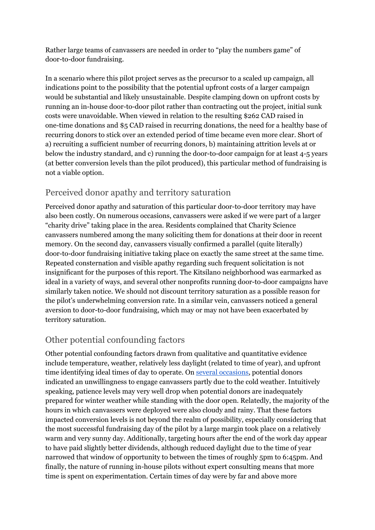Rather large teams of canvassers are needed in order to "play the numbers game" of door-to-door fundraising.

In a scenario where this pilot project serves as the precursor to a scaled up campaign, all indications point to the possibility that the potential upfront costs of a larger campaign would be substantial and likely unsustainable. Despite clamping down on upfront costs by running an in-house door-to-door pilot rather than contracting out the project, initial sunk costs were unavoidable. When viewed in relation to the resulting \$262 CAD raised in one-time donations and \$5 CAD raised in recurring donations, the need for a healthy base of recurring donors to stick over an extended period of time became even more clear. Short of a) recruiting a sufficient number of recurring donors, b) maintaining attrition levels at or below the industry standard, and c) running the door-to-door campaign for at least 4-5 years (at better conversion levels than the pilot produced), this particular method of fundraising is not a viable option.

# <span id="page-12-0"></span>Perceived donor apathy and territory saturation

Perceived donor apathy and saturation of this particular door-to-door territory may have also been costly. On numerous occasions, canvassers were asked if we were part of a larger "charity drive" taking place in the area. Residents complained that Charity Science canvassers numbered among the many soliciting them for donations at their door in recent memory. On the second day, canvassers visually confirmed a parallel (quite literally) door-to-door fundraising initiative taking place on exactly the same street at the same time. Repeated consternation and visible apathy regarding such frequent solicitation is not insignificant for the purposes of this report. The Kitsilano neighborhood was earmarked as ideal in a variety of ways, and several other nonprofits running door-to-door campaigns have similarly taken notice. We should not discount territory saturation as a possible reason for the pilot's underwhelming conversion rate. In a similar vein, canvassers noticed a general aversion to door-to-door fundraising, which may or may not have been exacerbated by territory saturation.

# <span id="page-12-1"></span>Other potential confounding factors

Other potential confounding factors drawn from qualitative and quantitative evidence include temperature, weather, relatively less daylight (related to time of year), and upfront time identifying ideal times of day to operate. On several [occasions,](https://docs.google.com/document/d/12RudrFh3CCf3nQU9w6kOYqCoZ_cGbcm9bGsXNZ-yxiw/edit?usp=sharing) potential donors indicated an unwillingness to engage canvassers partly due to the cold weather. Intuitively speaking, patience levels may very well drop when potential donors are inadequately prepared for winter weather while standing with the door open. Relatedly, the majority of the hours in which canvassers were deployed were also cloudy and rainy. That these factors impacted conversion levels is not beyond the realm of possibility, especially considering that the most successful fundraising day of the pilot by a large margin took place on a relatively warm and very sunny day. Additionally, targeting hours after the end of the work day appear to have paid slightly better dividends, although reduced daylight due to the time of year narrowed that window of opportunity to between the times of roughly 5pm to 6:45pm. And finally, the nature of running in-house pilots without expert consulting means that more time is spent on experimentation. Certain times of day were by far and above more